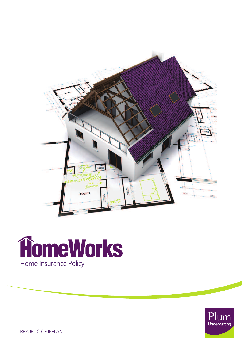





REPUBLIC OF IRELAND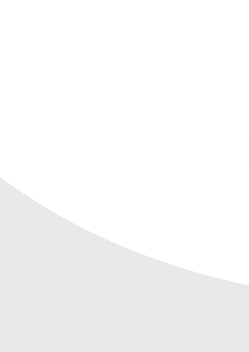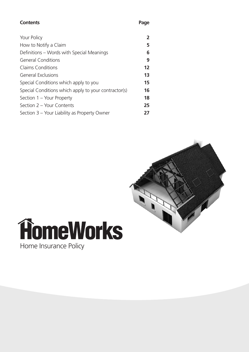# **Contents Page**

| Your Policy                                          | 2  |
|------------------------------------------------------|----|
| How to Notify a Claim                                | 5  |
| Definitions - Words with Special Meanings            | 6  |
| <b>General Conditions</b>                            | 9  |
| <b>Claims Conditions</b>                             | 12 |
| <b>General Exclusions</b>                            | 13 |
| Special Conditions which apply to you                | 15 |
| Special Conditions which apply to your contractor(s) | 16 |
| Section 1 – Your Property                            | 18 |
| Section 2 - Your Contents                            | 25 |
| Section 3 – Your Liability as Property Owner         | 27 |
|                                                      |    |



Home Insurance Policy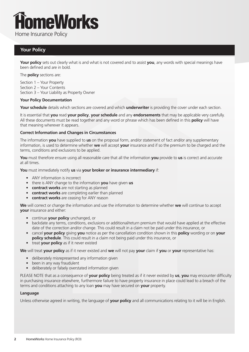Home Insurance Policy

### **Your Policy**

**Your policy** sets out clearly what is and what is not covered and to assist **you**, any words with special meanings have been defined and are in bold.

The **policy** sections are:

Section 1 – Your Property Section 2 – Your Contents Section 3 – Your Liability as Property Owner

#### **Your Policy Documentation**

**Your schedule** details which sections are covered and which **underwriter** is providing the cover under each section.

It is essential that **you** read **your policy**, **your schedule** and any **endorsements** that may be applicable very carefully. All these documents must be read together and any word or phrase which has been defined in this **policy** will have that meaning wherever it appears.

#### **Correct Information and Changes in Circumstances**

The information **you** have supplied to **us** on the proposal form, and/or statement of fact and/or any supplementary information, is used to determine whether **we** will accept **your** insurance and if so the premium to be charged and the terms, conditions and exclusions to be applied.

**You** must therefore ensure using all reasonable care that all the information **you** provide to **us** is correct and accurate at all times.

**You** must immediately notify **us** via **your broker or insurance intermediary** if:

- ANY information is incorrect
- there is ANY change to the information **you** have given **us**
- **contract works** are not starting as planned
- **contract works** are completing earlier than planned
- **contract works** are ceasing for ANY reason

**We** will correct or change the information and use the information to determine whether **we** will continue to accept **your** insurance and either:

- continue **your policy** unchanged, or
- backdate any terms, conditions, exclusions or additional/return premium that would have applied at the effective date of the correction and/or change. This could result in a claim not be paid under this insurance, or
- cancel **your policy** giving **you** notice as per the cancellation condition shown in this **policy** wording or on **your policy schedule**. This could result in a claim not being paid under this insurance, or
- treat **your policy** as if it never existed

**We** will treat **your policy** as if it never existed and **we** will not pay **your** claim if **you** or **your** representative has:

- deliberately misrepresented any information given
- been in any way fraudulent
- deliberately or falsely overstated information given

PLEASE NOTE that as a consequence of **your policy** being treated as if it never existed by **us**, **you** may encounter difficulty in purchasing insurance elsewhere, furthermore failure to have property insurance in place could lead to a breach of the terms and conditions attaching to any loan **you** may have secured on **your** property.

#### **Language**

Unless otherwise agreed in writing, the language of **your policy** and all communications relating to it will be in English.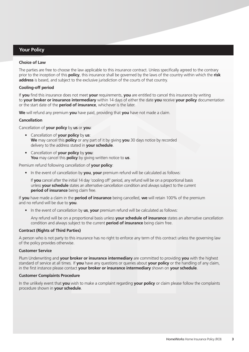### **Your Policy**

#### **Choice of Law**

The parties are free to choose the law applicable to this insurance contract. Unless specifically agreed to the contrary prior to the inception of this **policy**, this insurance shall be governed by the laws of the country within which the **risk address** is based, and subject to the exclusive jurisdiction of the courts of that country.

#### **Cooling-off period**

If **you** find this insurance does not meet **your** requirements, **you** are entitled to cancel this insurance by writing to **your broker or insurance intermediary** within 14 days of either the date **you** receive **your policy** documentation or the start date of the **period of insurance**, whichever is the later.

**We** will refund any premium **you** have paid, providing that **you** have not made a claim.

#### **Cancellation**

Cancellation of **your policy** by **us** or **you**:

- Cancellation of **your policy** by **us**: **We** may cancel this **policy** or any part of it by giving **you** 30 days notice by recorded delivery to the address stated in **your schedule**.
- Cancellation of **your policy** by **you**: **You** may cancel this **policy** by giving written notice to **us**.

Premium refund following cancellation of **your policy**:

• In the event of cancellation by **you**, **your** premium refund will be calculated as follows:

If **you** cancel after the initial 14 day 'cooling off' period, any refund will be on a proportional basis unless **your schedule** states an alternative cancellation condition and always subject to the current **period of insurance** being claim free.

If **you** have made a claim in the **period of insurance** being cancelled, **we** will retain 100% of the premium and no refund will be due to **you**.

• In the event of cancellation by **us**, **your** premium refund will be calculated as follows:

Any refund will be on a proportional basis unless **your schedule of insurance** states an alternative cancellation condition and always subject to the current **period of insurance** being claim free.

#### **Contract (Rights of Third Parties)**

A person who is not party to this insurance has no right to enforce any term of this contract unless the governing law of the policy provides otherwise.

#### **Customer Service**

Plum Underwriting and **your broker or insurance intermediary** are committed to providing **you** with the highest standard of service at all times. If **you** have any questions or queries about **your policy** or the handling of any claim, in the first instance please contact **your broker or insurance intermediary** shown on **your schedule**.

#### **Customer Complaints Procedure**

In the unlikely event that **you** wish to make a complaint regarding **your policy** or claim please follow the complaints procedure shown in **your schedule**.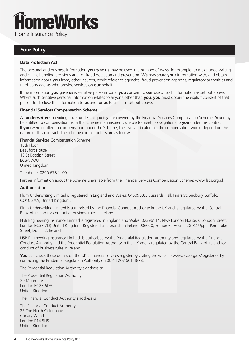Home Insurance Policy

# **Your Policy**

#### **Data Protection Act**

The personal and business information **you** gave **us** may be used in a number of ways, for example, to make underwriting and claims handling decisions and for fraud detection and prevention. **We** may share **your** information with, and obtain information about **you** from, other insurers, credit reference agencies, fraud prevention agencies, regulatory authorities and third-party agents who provide services on **our** behalf.

If the information **you** gave **us** is sensitive personal data, **you** consent to **our** use of such information as set out above. Where such sensitive personal information relates to anyone other than **you**, **you** must obtain the explicit consent of that person to disclose the information to **us** and for **us** to use it as set out above.

#### **Financial Services Compensation Scheme**

All **underwriters** providing cover under this **policy** are covered by the Financial Services Compensation Scheme. **You** may be entitled to compensation from the Scheme if an insurer is unable to meet its obligations to **you** under this contract. If **you** were entitled to compensation under the Scheme, the level and extent of the compensation would depend on the nature of this contract. The scheme contact details are as follows:

Financial Services Compensation Scheme 10th Floor Beaufort House 15 St Botolph Street EC3A 7QU United Kingdom

Telephone: 0800 678 1100

Further information about the Scheme is available from the Financial Services Compensation Scheme: www.fscs.org.uk.

#### **Authorisation**

Plum Underwriting Limited is registered in England and Wales: 04509589, Buzzards Hall, Friars St, Sudbury, Suffolk, CO10 2AA, United Kingdom.

Plum Underwriting Limited is authorised by the Financial Conduct Authority in the UK and is regulated by the Central Bank of Ireland for conduct of business rules in Ireland.

HSB Engineering Insurance Limited is registered in England and Wales: 02396114, New London House, 6 London Street, London EC3R 7LP, United Kingdom. Registered as a branch in Ireland 906020, Pembroke House, 28-32 Upper Pembroke Street, Dublin 2, Ireland.

HSB Engineering Insurance Limited is authorised by the Prudential Regulation Authority and regulated by the Financial Conduct Authority and the Prudential Regulation Authority in the UK and is regulated by the Central Bank of Ireland for conduct of business rules in Ireland.

**You** can check these details on the UK's financial services register by visiting the website www.fca.org.uk/register or by contacting the Prudential Regulation Authority on 00 44 207 601 4878.

The Prudential Regulation Authority's address is:

The Prudential Regulation Authority 20 Moorgate London EC2R 6DA United Kingdom

The Financial Conduct Authority's address is:

The Financial Conduct Authority 25 The North Colonnade Canary Wharf London E14 5HS United Kingdom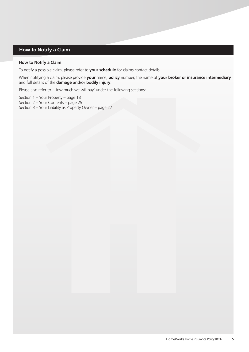# **How to Notify a Claim**

#### **How to Notify a Claim**

To notify a possible claim, please refer to **your schedule** for claims contact details.

When notifying a claim, please provide **your** name, **policy** number, the name of **your broker or insurance intermediary** and full details of the **damage** and/or **bodily injury**.

Please also refer to 'How much we will pay' under the following sections:

Section 1 – Your Property – page 18

- Section 2 Your Contents page 25
- Section 3 Your Liability as Property Owner page 27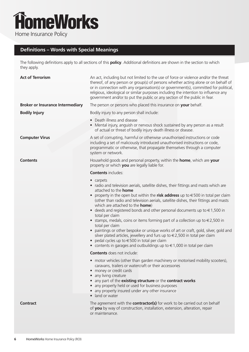# **flomeWorks**

Home Insurance Policy

# **Definitions – Words with Special Meanings**

The following definitions apply to all sections of this **policy**. Additional definitions are shown in the section to which they apply.

| <b>Act of Terrorism</b>                 | An act, including but not limited to the use of force or violence and/or the threat<br>thereof, of any person or group(s) of persons whether acting alone or on behalf of<br>or in connection with any organisation(s) or government(s), committed for political,<br>religious, ideological or similar purposes including the intention to influence any<br>government and/or to put the public or any section of the public in fear.                                                                                                                                                                                                                                                                                                                                                                                                                                                   |
|-----------------------------------------|-----------------------------------------------------------------------------------------------------------------------------------------------------------------------------------------------------------------------------------------------------------------------------------------------------------------------------------------------------------------------------------------------------------------------------------------------------------------------------------------------------------------------------------------------------------------------------------------------------------------------------------------------------------------------------------------------------------------------------------------------------------------------------------------------------------------------------------------------------------------------------------------|
| <b>Broker or Insurance Intermediary</b> | The person or persons who placed this insurance on your behalf.                                                                                                                                                                                                                                                                                                                                                                                                                                                                                                                                                                                                                                                                                                                                                                                                                         |
| <b>Bodily Injury</b>                    | Bodily injury to any person shall include:                                                                                                                                                                                                                                                                                                                                                                                                                                                                                                                                                                                                                                                                                                                                                                                                                                              |
|                                         | • Death illness and disease<br>• Mental injury, anguish or nervous shock sustained by any person as a result<br>of actual or threat of bodily injury death illness or disease.                                                                                                                                                                                                                                                                                                                                                                                                                                                                                                                                                                                                                                                                                                          |
| <b>Computer Virus</b>                   | A set of corrupting, harmful or otherwise unauthorised instructions or code<br>including a set of maliciously introduced unauthorised instructions or code,<br>programmatic or otherwise, that propagate themselves through a computer<br>system or network.                                                                                                                                                                                                                                                                                                                                                                                                                                                                                                                                                                                                                            |
| <b>Contents</b>                         | Household goods and personal property, within the <b>home</b> , which are your<br>property or which you are legally liable for.                                                                                                                                                                                                                                                                                                                                                                                                                                                                                                                                                                                                                                                                                                                                                         |
|                                         | <b>Contents</b> includes:                                                                                                                                                                                                                                                                                                                                                                                                                                                                                                                                                                                                                                                                                                                                                                                                                                                               |
|                                         | • carpets<br>• radio and television aerials, satellite dishes, their fittings and masts which are<br>attached to the <b>home</b><br>property in the open but within the risk address up to $\epsilon$ 500 in total per claim<br>(other than radio and television aerials, satellite dishes, their fittings and masts<br>which are attached to the <b>home</b> )<br>• deeds and registered bonds and other personal documents up to $\in$ 1,500 in<br>total per claim<br>• stamps, medals, coins or items forming part of a collection up to $\in$ 2,500 in<br>total per claim<br>• paintings or other bespoke or unique works of art or craft, gold, silver, gold and<br>silver plated articles, jewellery and furs up to €2,500 in total per claim<br>• pedal cycles up to $\in$ 500 in total per claim<br>• contents in garages and outbuildings up to $\in 1,000$ in total per claim |
|                                         | <b>Contents</b> does not include:                                                                                                                                                                                                                                                                                                                                                                                                                                                                                                                                                                                                                                                                                                                                                                                                                                                       |
|                                         | • motor vehicles (other than garden machinery or motorised mobility scooters),<br>caravans, trailers or watercraft or their accessories<br>• money or credit cards<br>• any living creature<br>• any part of the existing structure or the contract works<br>• any property held or used for business purposes<br>• any property insured under any other insurance<br>• land or water                                                                                                                                                                                                                                                                                                                                                                                                                                                                                                   |
| <b>Contract</b>                         | The agreement with the <b>contractor(s)</b> for work to be carried out on behalf<br>of you by way of construction, installation, extension, alteration, repair<br>or maintenance.                                                                                                                                                                                                                                                                                                                                                                                                                                                                                                                                                                                                                                                                                                       |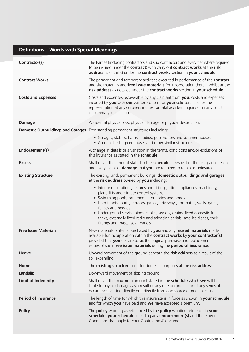# **Definitions – Words with Special Meanings**

| Contractor(s)               | The Parties (including contractors and sub contractors and every tier where required<br>to be insured under the contract) who carry out contract works at the risk<br>address as detailed under the contract works section in your schedule.                                                                                                                                                                                                                                       |
|-----------------------------|------------------------------------------------------------------------------------------------------------------------------------------------------------------------------------------------------------------------------------------------------------------------------------------------------------------------------------------------------------------------------------------------------------------------------------------------------------------------------------|
|                             |                                                                                                                                                                                                                                                                                                                                                                                                                                                                                    |
| <b>Contract Works</b>       | The permanent and temporary activities executed in performance of the contract<br>and site materials and free issue materials for incorporation therein whilst at the<br>risk address as detailed under the contract works section in your schedule.                                                                                                                                                                                                                               |
| <b>Costs and Expenses</b>   | Costs and expenses recoverable by any claimant from you, costs and expenses                                                                                                                                                                                                                                                                                                                                                                                                        |
|                             | incurred by you with our written consent or your solicitors fees for the<br>representation at any coroners inquest or fatal accident inquiry or in any court<br>of summary jurisdiction.                                                                                                                                                                                                                                                                                           |
| <b>Damage</b>               | Accidental physical loss, physical damage or physical destruction.                                                                                                                                                                                                                                                                                                                                                                                                                 |
|                             | Domestic Outbuildings and Garages Free-standing permanent structures including:                                                                                                                                                                                                                                                                                                                                                                                                    |
|                             | • Garages, stables, barns, studios, pool houses and summer houses<br>• Garden sheds, greenhouses and other similar structures                                                                                                                                                                                                                                                                                                                                                      |
| Endorsement(s)              | A change in details or a variation in the terms, conditions and/or exclusions of<br>this insurance as stated in the <b>schedule</b> .                                                                                                                                                                                                                                                                                                                                              |
| <b>Excess</b>               | Shall mean the amount stated in the <b>schedule</b> in respect of the first part of each<br>and every event of <b>damage</b> that you are required to retain as uninsured.                                                                                                                                                                                                                                                                                                         |
| <b>Existing Structure</b>   | The existing land, permanent buildings, domestic outbuildings and garages<br>at the risk address owned by you including:                                                                                                                                                                                                                                                                                                                                                           |
|                             | • Interior decorations, fixtures and fittings, fitted appliances, machinery,<br>plant, lifts and climate control systems<br>• Swimming pools, ornamental fountains and ponds<br>• Hard tennis courts, terraces, patios, driveways, footpaths, walls, gates,<br>fences and hedges<br>· Underground service pipes, cables, sewers, drains, fixed domestic fuel<br>tanks, externally fixed radio and television aerials, satellite dishes, their<br>fittings and masts, solar panels. |
| <b>Free Issue Materials</b> | New materials or items purchased by you and any reused materials made<br>available for incorporation within the contract works by your contractor(s)<br>provided that you declare to us the original purchase and replacement<br>values of such free issue materials during the period of insurance.                                                                                                                                                                               |
| <b>Heave</b>                | Upward movement of the ground beneath the risk address as a result of the<br>soil expanding.                                                                                                                                                                                                                                                                                                                                                                                       |
| Home                        | The existing structure used for domestic purposes at the risk address.                                                                                                                                                                                                                                                                                                                                                                                                             |
| Landslip                    | Downward movement of sloping ground.                                                                                                                                                                                                                                                                                                                                                                                                                                               |
|                             | Shall mean the maximum amount stated in the <b>schedule</b> which we will be                                                                                                                                                                                                                                                                                                                                                                                                       |
| <b>Limit of Indemnity</b>   | liable to pay as damages as a result of any one occurrence or of any series of<br>occurrences arising directly or indirectly from one source or original cause.                                                                                                                                                                                                                                                                                                                    |
| <b>Period of Insurance</b>  | The length of time for which this insurance is in force as shown in your schedule<br>and for which you have paid and we have accepted a premium.                                                                                                                                                                                                                                                                                                                                   |
| <b>Policy</b>               | The <b>policy</b> wording as referenced by the <b>policy</b> wording reference in your<br>schedule, your schedule including any endorsement(s) and the 'Special<br>Conditions that apply to Your Contractor(s)' document.                                                                                                                                                                                                                                                          |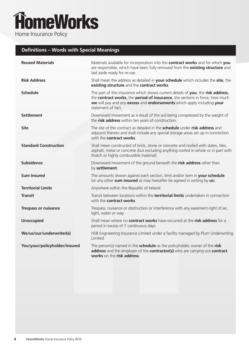# **flomeWorks** Home Insurance Policy

**Definitions – Words with Special Meanings**

| <b>Reused Materials</b>       | Materials available for incorporation into the contract works and for which you                                                                                                                                                                                  |
|-------------------------------|------------------------------------------------------------------------------------------------------------------------------------------------------------------------------------------------------------------------------------------------------------------|
|                               | are responsible, which have been fully removed from the existing structure and<br>laid aside ready for re-use.                                                                                                                                                   |
| <b>Risk Address</b>           | Shall mean the address as detailed in your schedule which includes the site, the<br>existing structure and the contract works.                                                                                                                                   |
| <b>Schedule</b>               | The part of this insurance which shows current details of you, the risk address,<br>the contract works, the period of insurance, the sections in force, how much<br>we will pay and any excess and endorsements which apply including your<br>statement of fact. |
| <b>Settlement</b>             | Downward movement as a result of the soil being compressed by the weight of<br>the risk address within ten years of construction.                                                                                                                                |
| <b>Site</b>                   | The site of the contract as detailed in the <b>schedule</b> under risk address and<br>adjacent thereto and shall include any special storage areas set up in connection<br>with the contract works.                                                              |
| <b>Standard Construction</b>  | Shall mean constructed of brick, stone or concrete and roofed with slates, tiles,<br>asphalt, metal or concrete (but excluding anything roofed in whole or in part with<br>thatch or highly combustible material).                                               |
| <b>Subsidence</b>             | Downward movement of the ground beneath the risk address other than<br>by settlement.                                                                                                                                                                            |
| <b>Sum Insured</b>            | The amounts shown against each section, limit and/or item in your schedule<br>(or any other sum insured as may hereafter be agreed in writing by us).                                                                                                            |
| <b>Territorial Limits</b>     | Anywhere within the Republic of Ireland.                                                                                                                                                                                                                         |
| <b>Transit</b>                | Transit between locations within the <b>territorial limits</b> undertaken in connection<br>with the contract works.                                                                                                                                              |
| <b>Trespass or nuisance</b>   | Trespass, nuisance or obstruction or interference with any easement right of air,<br>light, water or way.                                                                                                                                                        |
| <b>Unoccupied</b>             | Shall mean where no <b>contract works</b> have occurred at the <b>risk address</b> for a<br>period in excess of 7 continuous days.                                                                                                                               |
| We/us/our/underwriter(s)      | HSB Engineering Insurance Limited under a facility managed by Plum Underwriting<br>Limited.                                                                                                                                                                      |
| You/your/policyholder/insured | The person(s) named in the <b>schedule</b> as the policyholder, owner of the risk<br>address and the employer of the contractor(s) who are carrying out contract<br>works on the risk address.                                                                   |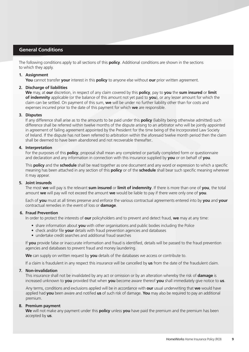# **General Conditions**

The following conditions apply to all sections of this **policy**. Additional conditions are shown in the sections to which they apply.

#### **1. Assignment**

**You** cannot transfer **your** interest in this **policy** to anyone else without **our** prior written agreement.

#### **2. Discharge of liabilities**

**We** may, at **our** discretion, in respect of any claim covered by this **policy**, pay to **you** the **sum insured** or **limit of indemnity** applicable (or the balance of this amount not yet paid to **you**), or any lesser amount for which the claim can be settled. On payment of this sum, **we** will be under no further liability other than for costs and expenses incurred prior to the date of this payment for which **we** are responsible.

#### **3. Disputes**

If any difference shall arise as to the amounts to be paid under this **policy** (liability being otherwise admitted) such difference shall be referred within twelve months of the dispute arising to an arbitrator who will be jointly appointed in agreement of failing agreement appointed by the President for the time being of the Incorporated Law Society of Ireland. If the dispute has not been referred to arbitration within the aforesaid twelve month period then the claim shall be deemed to have been abandoned and not recoverable thereafter..

#### **4. Interpretation**

For the purposes of this **policy**, proposal shall mean any completed or partially completed form or questionnaire and declaration and any information in connection with this insurance supplied by **you** or on behalf of **you**.

This **policy** and the **schedule** shall be read together as one document and any word or expression to which a specific meaning has been attached in any section of this **policy** or of the **schedule** shall bear such specific meaning wherever it may appear.

#### **5. Joint insureds**

The most **we** will pay is the relevant **sum insured** or **limit of indemnity**. If there is more than one of **you**, the total amount **we** will pay will not exceed the amount **we** would be liable to pay if there were only one of **you**.

Each of **you** must at all times preserve and enforce the various contractual agreements entered into by **you** and **your** contractual remedies in the event of loss or **damage**.

#### **6. Fraud Prevention**

In order to protect the interests of **our** policyholders and to prevent and detect fraud, **we** may at any time:

- share information about **you** with other organisations and public bodies including the Police
- check and/or file **your** details with fraud prevention agencies and databases
- undertake credit searches and additional fraud searches

If **you** provide false or inaccurate information and fraud is identified, details will be passed to the fraud prevention agencies and databases to prevent fraud and money laundering.

**We** can supply on written request by **you** details of the databases we access or contribute to.

If a claim is fraudulent in any respect this insurance will be cancelled by **us** from the date of the fraudulent claim.

#### **7. Non-invalidation**

This insurance shall not be invalidated by any act or omission or by an alteration whereby the risk of **damage** is increased unknown to **you** provided that when **you** become aware thereof **you** shall immediately give notice to **us**.

Any terms, conditions and exclusions applied will be in accordance with **our** usual underwriting that **we** would have applied had **you** been aware and notified **us** of such risk of damage. **You** may also be required to pay an additional premium.

#### **8. Premium payment**

**We** will not make any payment under this **policy** unless **you** have paid the premium and the premium has been accepted by **us**.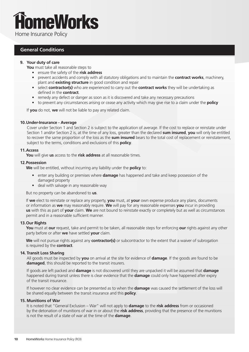Home Insurance Policy

## **General Conditions**

#### **9. Your duty of care**

**You** must take all reasonable steps to

- ensure the safety of the **risk address**
- prevent accidents and comply with all statutory obligations and to maintain the **contract works**, machinery, plant and **existing structure** in good condition and repair
- select **contractor(s)** who are experienced to carry out the **contract works** they will be undertaking as defined in the **contract**.
- remedy any defect or danger as soon as it is discovered and take any necessary precautions
- to prevent any circumstances arising or cease any activity which may give rise to a claim under the **policy**

If **you** do not, **we** will not be liable to pay any related claim.

#### **10.Under-Insurance - Average**

Cover under Section 1 and Section 2 is subject to the application of average. If the cost to replace or reinstate under Section 1 and/or Section 2 is, at the time of any loss, greater than the declared **sum insured**, **you** will only be entitled to recover the same proportion of the loss as the **sum insured** bears to the total cost of replacement or reinstatement, subject to the terms, conditions and exclusions of this **policy**.

#### **11.Access**

**You** will give **us** access to the **risk address** at all reasonable times.

#### **12.Possession**

**We** will be entitled, without incurring any liability under the **policy** to:

- enter any building or premises where **damage** has happened and take and keep possession of the damaged property
- deal with salvage in any reasonable way

But no property can be abandoned to **us**.

If **we** elect to reinstate or replace any property, **you** must, at **your** own expense produce any plans, documents or information as **we** may reasonably require. **We** will pay for any reasonable expenses **you** incur in providing **us** with this as part of **your** claim. **We** are not bound to reinstate exactly or completely but as well as circumstances permit and in a reasonable sufficient manner.

#### **13.Our Rights**

**You** must at **our** request, take and permit to be taken, all reasonable steps for enforcing **our** rights against any other party before or after **we** have settled **your** claim.

**We** will not pursue rights against any **contractor(s)** or subcontractor to the extent that a waiver of subrogation is required by the **contract**.

#### **14. Transit Loss Sharing**

All goods must be inspected by **you** on arrival at the site for evidence of **damage**. If the goods are found to be **damaged**, this should be reported to the transit insurers.

If goods are left packed and **damage** is not discovered until they are unpacked it will be assumed that **damage** happened during transit unless there is clear evidence that the **damage** could only have happened after expiry of the transit insurance.

If however no clear evidence can be presented as to when the **damage** was caused the settlement of the loss will be shared equally between the transit insurance and this **policy**.

#### **15. Munitions of War**

It is noted that "General Exclusion – War" will not apply to **damage** to the **risk address** from or occasioned by the detonation of munitions of war in or about the **risk address**, providing that the presence of the munitions is not the result of a state of war at the time of the **damage**.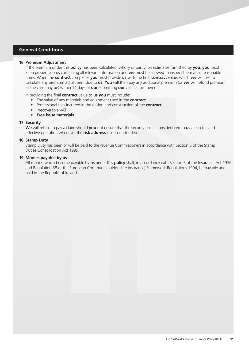### **General Conditions**

#### **16. Premium Adjustment**

If the premium under this **policy** has been calculated (wholly or partly) on estimates furnished by **you**, **you** must keep proper records containing all relevant information and **we** must be allowed to inspect them at all reasonable times. When the **contract** completes **you** must provide **us** with the final **contract** value, which **we** will use to calculate any premium adjustment due to **us**. **You** will then pay any additional premium (or **we** will refund premium as the case may be) within 14 days of **our** submitting **our** calculation thereof.

In providing the final **contract** value to **us you** must include:

- The value of any materials and equipment used in the **contract**
- Professional fees incurred in the design and construction of the **contract**
- Irrecoverable VAT
- **Free issue materials**

#### **17. Security**

**We** will refuse to pay a claim should **you** not ensure that the security protections declared to **us** are in full and effective operation whenever the **risk address** is left unattended.

#### **18. Stamp Duty**

Stamp Duty has been or will be paid to the revenue Commissioners in accordance with Section 5 of the Stamp Duties Consolidation Act 1999.

#### **19. Monies payable by us**

All monies which become payable by **us** under this **policy** shall, in accordance with Section 5 of the Insurance Act 1936 and Regulation 58 of the European Communities (Non-Life insurance) Framework Regulations 1994, be payable and paid in the Republic of Ireland.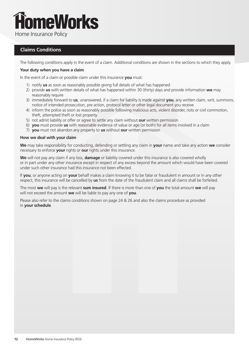Home Insurance Policy

# **Claims Conditions**

The following conditions apply in the event of a claim. Additional conditions are shown in the sections to which they apply.

#### **Your duty when you have a claim**

In the event of a claim or possible claim under this insurance **you** must:

- 1) notify **us** as soon as reasonably possible giving full details of what has happened
- 2) provide **us** with written details of what has happened within 30 (thirty) days and provide information **we** may reasonably require
- 3) immediately forward to **us**, unanswered, if a claim for liability is made against **you**, any written claim, writ, summons, notice of intended prosecution, pre action, protocol letter or other legal document you receive
- 4) inform the police as soon as reasonably possible following malicious acts, violent disorder, riots or civil commotion, theft, attempted theft or lost property
- 5) not admit liability or offer or agree to settle any claim without **our** written permission
- 6) **you** must provide **us** with reasonable evidence of value or age (or both) for all items involved in a claim
- 7) **you** must not abandon any property to **us** without **our** written permission

#### **How we deal with your claim**

**We** may take responsibility for conducting, defending or settling any claim in **your** name and take any action **we** consider necessary to enforce **your** rights or **our** rights under this insurance.

**We** will not pay any claim if any loss, **damage** or liability covered under this insurance is also covered wholly or in part under any other insurance except in respect of any excess beyond the amount which would have been covered under such other insurance had this insurance not been effected.

If **you**, or anyone acting on **your** behalf makes a claim knowing it to be false or fraudulent in amount or in any other respect, this insurance will be cancelled by **us** from the date of the fraudulent claim and all claims shall be forfeited.

The most **we** will pay is the relevant **sum insured**. If there is more than one of **you** the total amount **we** will pay will not exceed the amount **we** will be liable to pay any one of **you**.

Please also refer to the claims conditions shown on page 24 & 26 and also the claims procedure as provided in **your schedule**.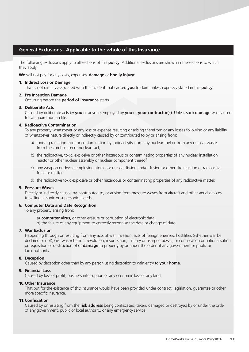#### **General Exclusions - Applicable to the whole of this Insurance**

The following exclusions apply to all sections of this **policy**. Additional exclusions are shown in the sections to which they apply.

**We** will not pay for any costs, expenses, **damage** or **bodily injury**:

#### **1. Indirect Loss or Damage**

That is not directly associated with the incident that caused **you** to claim unless expressly stated in this **policy**.

# **2. Pre Inception Damage**

Occurring before the **period of insurance** starts.

#### **3. Deliberate Acts**

Caused by deliberate acts by **you** or anyone employed by **you** or **your contractor(s)**. Unless such **damage** was caused to safeguard human life.

#### **4. Radioactive Contamination**

To any property whatsoever or any loss or expense resulting or arising therefrom or any losses following or any liability of whatsoever nature directly or indirectly caused by or contributed to by or arising from:

- a) ionising radiation from or contamination by radioactivity from any nuclear fuel or from any nuclear waste from the combustion of nuclear fuel,
- b) the radioactive, toxic, explosive or other hazardous or contaminating properties of any nuclear installation reactor or other nuclear assembly or nuclear component thereof
- c) any weapon or device employing atomic or nuclear fission and/or fusion or other like reaction or radioactive force or matter
- d) the radioactive toxic explosive or other hazardous or contaminating properties of any radioactive matter.

#### **5. Pressure Waves**

Directly or indirectly caused by, contributed to, or arising from pressure waves from aircraft and other aerial devices travelling at sonic or supersonic speeds.

#### **6. Computer Data and Date Recognition**

To any property arising from:

- a) **computer virus**, or other erasure or corruption of electronic data;
- b) the failure of any equipment to correctly recognise the date or change of date.

#### **7. War Exclusion**

Happening through or resulting from any acts of war, invasion, acts of foreign enemies, hostilities (whether war be declared or not), civil war, rebellion, revolution, insurrection, military or usurped power, or confiscation or nationalisation or requisition or destruction of or **damage** to property by or under the order of any government or public or local authority.

#### **8. Deception**

Caused by deception other than by any person using deception to gain entry to **your home**.

#### **9. Financial Loss**

Caused by loss of profit, business interruption or any economic loss of any kind.

#### **10.Other Insurance**

That but for the existence of this insurance would have been provided under contract, legislation, guarantee or other more specific insurance.

#### **11.Confiscation**

Caused by or resulting from the **risk address** being confiscated, taken, damaged or destroyed by or under the order of any government, public or local authority, or any emergency service.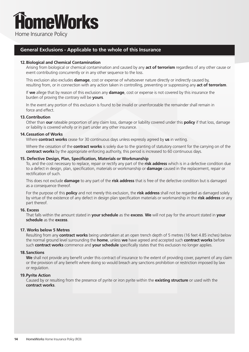Home Insurance Policy

# **General Exclusions - Applicable to the whole of this Insurance**

#### **12.Biological and Chemical Contamination**

Arising from biological or chemical contamination and caused by any **act of terrorism** regardless of any other cause or event contributing concurrently or in any other sequence to the loss.

This exclusion also excludes **damage**, cost or expense of whatsoever nature directly or indirectly caused by, resulting from, or in connection with any action taken in controlling, preventing or suppressing any **act of terrorism**.

If **we** allege that by reason of this exclusion any **damage**, cost or expense is not covered by this insurance the burden of proving the contrary will be **yours**.

In the event any portion of this exclusion is found to be invalid or unenforceable the remainder shall remain in force and effect.

#### **13.Contribution**

Other than **our** rateable proportion of any claim loss, damage or liability covered under this **policy** if that loss, damage or liability is covered wholly or in part under any other insurance.

#### **14.Cessation of Works**

Where **contract works** cease for 30 continuous days unless expressly agreed by **us** in writing.

Where the cessation of the **contract works** is solely due to the granting of statutory consent for the carrying on of the **contract works** by the appropriate enforcing authority, this period is increased to 60 continuous days.

#### **15. Defective Design, Plan, Specification, Materials or Workmanship**

To, and the cost necessary to replace, repair or rectify any part of the **risk address** which is in a defective condition due to a defect in design, plan, specification, materials or workmanship or **damage** caused in the replacement, repair or rectification of such.

This does not exclude **damage** to any part of the **risk address** that is free of the defective condition but is damaged as a consequence thereof.

For the purpose of this **policy** and not merely this exclusion, the **risk address** shall not be regarded as damaged solely by virtue of the existence of any defect in design plan specification materials or workmanship in the **risk address** or any part thereof.

#### **16. Excess**

That falls within the amount stated in **your schedule** as the **excess**. **We** will not pay for the amount stated in **your schedule** as the **excess**.

#### **17. Works below 5 Metres**

Resulting from any **contract works** being undertaken at an open trench depth of 5 metres (16 feet 4.85 inches) below the normal ground level surrounding the **home**, unless **we** have agreed and accepted such **contract works** before such **contract works** commence and **your schedule** specifically states that this exclusion no longer applies.

#### **18.Sanctions**

**We** shall not provide any benefit under this contract of insurance to the extent of providing cover, payment of any claim or the provision of any benefit where doing so would breach any sanctions prohibition or restriction imposed by law or regulation.

#### **19.Pyrite Action**

Caused by or resulting from the presence of pyrite or iron pyrite within the **existing structure** or used with the **contract works**.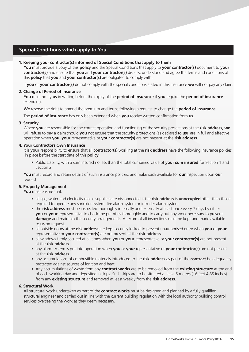### **Special Conditions which apply to You**

#### **1. Keeping your contractor(s) informed of Special Conditions that apply to them**

**You** must provide a copy of this **policy** and the Special Conditions that apply to **your contractor(s)** document to **your contractor(s)** and ensure that **you** and **your contractor(s)** discuss, understand and agree the terms and conditions of this **policy** that **you** and **your contractor(s)** are obligated to comply with.

If **you** or **your contractor(s)** do not comply with the special conditions stated in this insurance **we** will not pay any claim.

#### **2. Change of Period of Insurance**

**You** must notify **us** in writing before the expiry of the **period of insurance** if **you** require the **period of insurance** extending.

**We** reserve the right to amend the premium and terms following a request to change the **period of insurance**.

The **period of insurance** has only been extended when **you** receive written confirmation from **us**.

#### **3. Security**

Where **you** are responsible for the correct operation and functioning of the security protections at the **risk address, we** will refuse to pay a claim should **you** not ensure that the security protections (as declared to **us**) are in full and effective operation when **you**, **your** representative or **your contractor(s)** are not present at the **risk address**.

#### **4. Your Contractors Own Insurance**

It is **your** responsibility to ensure that all **contractor(s)** working at the **risk address** have the following insurance policies in place before the start date of this **policy**:

• Public Liability, with a sum insured no less than the total combined value of **your sum insured** for Section 1 and Section 2

**You** must record and retain details of such insurance policies, and make such available for **our** inspection upon **our** request.

#### **5. Property Management**

**You** must ensure that:

- all gas, water and electricity mains suppliers are disconnected if the **risk address** is **unoccupied** other than those required to operate any sprinkler system, fire alarm system or intruder alarm system.
- the **risk address** must be inspected thoroughly internally and externally at least once every 7 days by either **you** or **your** representative to check the premises thoroughly and to carry out any work necessary to prevent **damage** and maintain the security arrangements. A record of all inspections must be kept and made available to **us** on request.
- all outside doors at the **risk address** are kept securely locked to prevent unauthorised entry when **you** or **your** representative or **your contractor(s)** are not present at the **risk address**.
- all windows firmly secured at all times when **you** or **your** representative or **your contractor(s)** are not present at the **risk address**.
- any alarm system is put into operation when **you** or **your** representative or **your contractor(s)** are not present at the **risk address**.
- any accumulations of combustible materials introduced to the **risk address** as part of the **contract** be adequately protected against sources of ignition and heat.
- Any accumulations of waste from any **contract works** are to be removed from the **existing structure** at the end of each working day and deposited in skips. Such skips are to be situated at least 5 metres (16 feet 4.85 inches) from any **existing structure** and removed at least weekly from the **risk address**.

#### **6. Structural Work**

All structural work undertaken as part of the **contract works** must be designed and planned by a fully qualified structural engineer and carried out in line with the current building regulation with the local authority building control services overseeing the work as they deem necessary.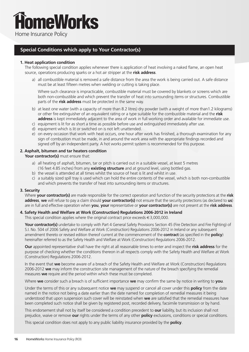Home Insurance Policy

# **Special Conditions which apply to Your Contractor(s)**

#### **1. Heat application condition**

The following special condition applies whenever there is application of heat involving a naked flame, an open heat source, operations producing sparks or a hot air stripper at the **risk address**.

a) all combustible material is removed a safe distance from the area the work is being carried out. A safe distance must be at least fifteen metres when welding or cutting is taking place.

Where such clearance is impracticable, combustible material must be covered by blankets or screens which are both non-combustible and which prevent the transfer of heat into surrounding items or structures. Combustible parts of the **risk address** must be protected in the same way.

- b) at least one water (with a capacity of more than 8.2 litres) dry powder (with a weight of more than1.2 kilograms) or other fire extinguisher of an equivalent rating or a type suitable for the combustible material and the **risk address** is kept immediately adjacent to the area of work in full working order and available for immediate use.
- c) equipment is lit for as short a time as possible before use and extinguished immediately after use.
- d) equipment which is lit or switched on is not left unattended.
- e) on every occasion that work with heat occurs, one hour after work has finished, a thorough examination for any sign of combustion must be made, in and around the work area with the appropriate findings recorded and signed off by an independent party. A hot works permit system is recommended for this purpose.

#### **2. Asphalt, bitumen and tar heaters condition**

**Your contractor(s)** must ensure that:

- a) all heating of asphalt, bitumen, tar or pitch is carried out in a suitable vessel, at least 5 metres (16 feet 4.85 inches) from any **existing structure** and at ground level, using bottled gas.
- b) the vessel is attended at all times whilst the source of heat is lit and whilst in use.
- c) a suitably sized spill tray is used which can hold the entire contents of the vessel, which is both non-combustible and which prevents the transfer of heat into surrounding items or structures.

#### **3. Security**

Where **your contractor(s)** are made responsible for the correct operation and function of the security protections at the **risk address**, **we** will refuse to pay a claim should **your contractor(s)** not ensure that the security protections (as declared to **us**) are in full and effective operation when **you**, **your** representative or **your contractor(s)** are not present at the **risk address**.

### **4. Safety Health and Welfare at Work (Construction) Regulations 2006-2012 in Ireland**

This special condition applies where the original contract price exceeds  $\in$  3,000,000.

Your contractor(s) undertake to comply with Part 4 General Safety Provisions Section 45 (Fire Detection and Fire Fighting) of S.I. No. 504 of 2006 Safety and Welfare at Work (Construction) Regulations 2006-2012 in Ireland or any subsequent amendment thereto or revised edition thereof current at the commencement of the **contract** (as specified in the **policy**) hereinafter referred to as the Safety Health and Welfare at Work (Construction) Regulations 2006-2012.

**Our** appointed representative shall have the right at all reasonable times to enter and inspect the **risk address** for the purpose of checking whether the conditions thereon in all respects comply with the Safety Health and Welfare at Work (Construction) Regulations 2006-2012.

In the event that **we** become aware of a breach of the Safety Health and Welfare at Work (Construction) Regulations 2006-2012 **we** may inform the construction site management of the nature of the breach specifying the remedial measures **we** require and the period within which these must be completed.

Where **we** consider such a breach is of sufficient importance **we** may confirm the same by notice in writing to **you**.

Under the terms of this or any subsequent notice **we** may suspend or cancel all cover under this **policy** from the date named in the notice not being a date earlier than the date named for completion of remedial measures it being understood that upon suspension such cover will be reinstated when **we** are satisfied that the remedial measures have been completed such notice shall be given by registered post, recorded delivery, facsimile transmission or by hand.

This endorsement shall not by itself be considered a condition precedent to **our** liability, but its inclusion shall not prejudice, waive or remove **our** rights under the terms of any other **policy** exclusions, conditions or special conditions.

This special condition does not apply to any public liability insurance provided by the **policy**.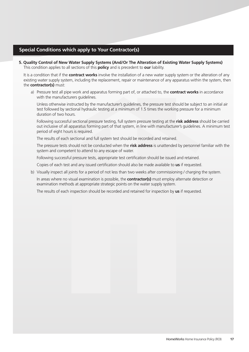### **Special Conditions which apply to Your Contractor(s)**

**5. Quality Control of New Water Supply Systems (And/Or The Alteration of Existing Water Supply Systems)** This condition applies to all sections of this **policy** and is precedent to **our** liability.

It is a condition that if the **contract works** involve the installation of a new water supply system or the alteration of any existing water supply system, including the replacement, repair or maintenance of any apparatus within the system, then the **contractor(s)** must:

a) Pressure test all pipe work and apparatus forming part of, or attached to, the **contract works** in accordance with the manufacturers guidelines.

Unless otherwise instructed by the manufacturer's guidelines, the pressure test should be subject to an initial air test followed by sectional hydraulic testing at a minimum of 1.5 times the working pressure for a minimum duration of two hours.

Following successful sectional pressure testing, full system pressure testing at the **risk address** should be carried out inclusive of all apparatus forming part of that system, in line with manufacturer's guidelines. A minimum test period of eight hours is required.

The results of each sectional and full system test should be recorded and retained.

The pressure tests should not be conducted when the **risk address** is unattended by personnel familiar with the system and competent to attend to any escape of water.

Following successful pressure tests, appropriate test certification should be issued and retained.

Copies of each test and any issued certification should also be made available to **us** if requested.

b) Visually inspect all joints for a period of not less than two weeks after commissioning / charging the system.

In areas where no visual examination is possible, the **contractor(s)** must employ alternate detection or examination methods at appropriate strategic points on the water supply system.

The results of each inspection should be recorded and retained for inspection by **us** if requested.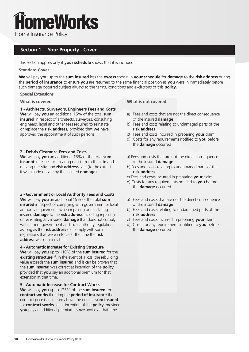Home Insurance Policy

# **Section 1 – Your Property - Cover**

This section applies only if **your schedule** shows that it is included.

#### **Standard Cover**

**We** will pay **you** up to the **sum insured** less the **excess** shown in **your schedule** for **damage** to the **risk address** during the **period of insurance** to ensure **you** are returned to the same financial position as **you** were in immediately before such damage occurred subject always to the terms, conditions and exclusions of this **policy**.

#### **Special Extensions**

**What is covered**

#### **1 - Architects, Surveyors, Engineers Fees and Costs**

**We** will pay **you** an additional 15% of the total **sum insured** in respect of architects, surveyors, consulting engineers, legal and other fees required to reinstate or replace the **risk address,** provided that **we** have approved the appointment of such persons.

#### **2 - Debris Clearance Fees and Costs**

**We** will pay **you** an additional 15% of the total **sum insured** in respect of clearing debris from the **site** and making the **site** and **risk address** safe (to the extent it was made unsafe by the insured **damage**).

**3 - Government or Local Authority Fees and Costs We** will pay **you** an additional 15% of the total **sum insured** in respect of complying with government or local authority requirements when repairing or reinstating insured **damage** to the **risk address** including repairing or reinstating any insured **damage** that does not comply with current government and local authority regulations as long as the **risk address** did comply with such regulations that were in force at the time the **risk address** was originally built.

**4 - Automatic Increase for Existing Structure We** will pay **you** up to 110% of the **sum insured** for the **existing structure** if, in the event of a loss, the rebuilding value exceeds the **sum insured** and it can be proven that

the **sum insured** was correct at inception of the **policy** provided that **you** pay an additional premium for that extension at that time.

**5 - Automatic Increase for Contract Works**

**We** will pay **you** up to 125% of the **sum insured** for **contract works** if during the **period of insurance** the contract price is increased above the original **sum insured** for **contract works** set at inception of the **policy**, provided **you** pay an additional premium as **we** advise at that time.

#### **What is not covered**

- a) Fees and costs that are not the direct consequence of the insured **damage**
- b) Fees and costs relating to undamaged parts of the **risk address**
- c) Fees and costs incurred in preparing **your** claim
- d) Costs for any requirements notified to **you** before the **damage** occurred
- a) Fees and costs that are not the direct consequence of the insured **damage**
- b) Fees and costs relating to undamaged parts of the **risk address**
- c) Fees and costs incurred in preparing **your** claim
- d) Costs for any requirements notified to **you** before the **damage** occurred
- a) Fees and costs that are not the direct consequence of the insured **damage**
- b) Fees and costs relating to undamaged parts of the **risk address**
- c) Fees and costs incurred in preparing **your** claim
- d) Costs for any requirements notified to **you** before the **damage** occurred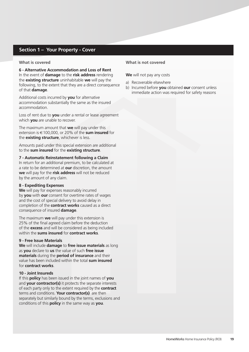#### **Section 1 – Your Property - Cover**

#### **What is covered**

**6 - Alternative Accommodation and Loss of Rent** In the event of **damage** to the **risk address** rendering the **existing structure** uninhabitable **we** will pay the following, to the extent that they are a direct consequence of that **damage**.

Additional costs incurred by **you** for alternative accommodation substantially the same as the insured accommodation.

Loss of rent due to **you** under a rental or lease agreement which **you** are unable to recover.

The maximum amount that **we** will pay under this extension is €100,000, or 20% of the **sum insured** for the **existing structure**, whichever is less.

Amounts paid under this special extension are additional to the **sum insured** for the **existing structure**.

### **7 - Automatic Reinstatement following a Claim**

In return for an additional premium, to be calculated at a rate to be determined at **our** discretion, the amount **we** will pay for the **risk address** will not be reduced by the amount of any claim.

#### **8 - Expediting Expenses**

**We** will pay for expenses reasonably incurred by **you** with **our** consent for overtime rates of wages and the cost of special delivery to avoid delay in completion of the **contract works** caused as a direct consequence of insured **damage**.

The maximum **we** will pay under this extension is 25% of the final agreed claim before the deduction of the **excess** and will be considered as being included within the **sums insured** for **contract works**.

#### **9 - Free Issue Materials**

**We** will include **damage** to **free issue materials** as long as **you** declare to **us** the value of such **free issue materials** during the **period of insurance** and their value has been included within the total **sum insured** for **contract works**.

#### **10 - Joint Insureds**

If this **policy** has been issued in the joint names of **you** and **your contractor(s)** it protects the separate interests of each party only to the extent required by the **contract** terms and conditions. **Your contractor(s)** are then separately but similarly bound by the terms, exclusions and conditions of this **policy** in the same way as **you**.

#### **What is not covered**

**We** will not pay any costs

- a) Recoverable elsewhere
- b) Incurred before **you** obtained **our** consent unless immediate action was required for safety reasons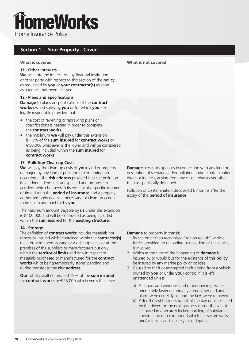Home Insurance Policy

# **Section 1 – Your Property - Cover**

#### **What is covered**

#### **11 - Other Interests**

**We** will note the interest of any financial institution or other party with respect to this section of the **policy** as requested by **you** or **your contractor(s)** as soon as a request has been received.

#### **12 - Plans and Specifications**

**Damage** to plans or specifications of the **contract works** owned solely by **you** or for which **you** are legally responsible provided that:

- the cost of rewriting or redrawing plans or specifications is needed in order to complete the **contract works**
- the maximum **we** will pay under this extension is 10% of the **sum insured** for **contract works** or €50,000 whichever is the lower and will be considered as being included within the **sum insured** for **contract works**.

#### **13 - Pollution Clean-up Costs**

**We** will pay the clean-up costs of **your** land or property damaged by any kind of pollution or contamination occurring at the **risk address** provided that the pollution is a sudden, identified, unexpected and unforeseen accident which happens in its entirety at a specific moment of time during the **period of insurance** and a properly authorised body deems it necessary for clean-up action to be taken and paid for by **you**.

The maximum amount payable by **us** under this extension is  $€100,000$  and will be considered as being included within the **sum insured** for the **existing structure**.

#### **14 - Storage**

The definition of **contract works** includes materials not otherwise insured whilst contained within the **contractor(s)** main or permanent storage or workshop areas or at the premises of the suppliers or manufacturers but only within the **territorial limits** and only in respect of materials purchased or manufactured for the **contract works** whilst being temporarily stored pending and during transfer to the **risk address**.

**Our** liability shall not exceed 15% of the **sum insured** for **contract works** or €25,000 whichever is the lesser.

**What is not covered**

**Damage**, costs or expenses in connection with any kind or description of seepage and/or pollution and/or contamination direct or indirect, arising from any cause whatsoever other than as specifically described.

Pollution or contamination discovered 6 months after the expiry of the **period of insurance**.

**Damage** to property in transit:

- 1. By sea other than recognised "roll-on roll-off" vehicle ferries provided no unloading or reloading of the vehicle is involved.
- 2. Which at the time of the happening of **damage** is insured by or would but for the existence of this **policy** be insured by any marine policy or policies.
- 3. Caused by theft or attempted theft arising from a vehicle owned by **you** or under **your** control if it is left unattended unless:
	- a) All doors and windows and other openings were adequately fastened and any immobiliser and any alarm were correctly set and the keys were removed
	- b) After the last business transit of the day until collected by the driver for the next business transit the vehicle is housed in a securely locked building of substantial construction or a compound which has secure walls and/or fences and securely locked gates.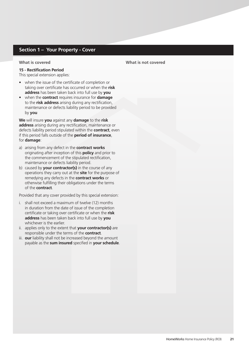#### **Section 1 – Your Property - Cover**

**What is covered**

**What is not covered**

#### **15 - Rectification Period**

This special extension applies:

- when the issue of the certificate of completion or taking over certificate has occurred or when the **risk address** has been taken back into full use by **you**
- when the **contract** requires insurance for **damage** to the **risk address** arising during any rectification, maintenance or defects liability period to be provided by **you**

**We** will insure **you** against any **damage** to the **risk address** arising during any rectification, maintenance or defects liability period stipulated within the **contract**, even if this period falls outside of the **period of insurance**, for **damage**:

- a) arising from any defect in the **contract works** originating after inception of this **policy** and prior to the commencement of the stipulated rectification, maintenance or defects liability period.
- b) caused by **your contractor(s)** in the course of any operations they carry out at the **site** for the purpose of remedying any defects in the **contract works** or otherwise fulfilling their obligations under the terms of the **contract**.

Provided that any cover provided by this special extension:

- i. shall not exceed a maximum of twelve (12) months in duration from the date of issue of the completion certificate or taking over certificate or when the **risk address** has been taken back into full use by **you** whichever is the earlier.
- ii. applies only to the extent that **your contractor(s)** are responsible under the terms of the **contract**.
- iii. **our** liability shall not be increased beyond the amount payable as the **sum insured** specified in **your schedule**.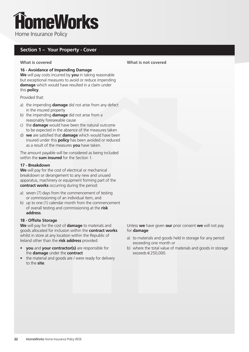

Home Insurance Policy

## **Section 1 – Your Property - Cover**

#### **What is covered**

#### **16 - Avoidance of Impending Damage**

**We** will pay costs incurred by **you** in taking reasonable but exceptional measures to avoid or reduce impending **damage** which would have resulted in a claim under this **policy**.

Provided that:

- a) the impending **damage** did not arise from any defect in the insured property
- b) the impending **damage** did not arise from a reasonably foreseeable cause
- c) the **damage** would have been the natural outcome to be expected in the absence of the measures taken
- d) **we** are satisfied that **damage** which would have been insured under this **policy** has been avoided or reduced as a result of the measures **you** have taken.

The amount payable will be considered as being included within the **sum insured** for the Section 1.

#### **17 - Breakdown**

**We** will pay for the cost of electrical or mechanical breakdown or derangement to any new and unused apparatus, machinery or equipment forming part of the **contract works** occurring during the period:

- a) seven (7) days from the commencement of testing or commissioning of an individual item, and
- b) up to one (1) calendar month from the commencement of overall testing and commissioning at the **risk address**.

#### **18 - Offsite Storage**

**We** will pay for the cost of **damage** to materials and goods allocated for inclusion within the **contract works** whilst in store at any location within the Republic of Ireland other than the **risk address** provided:

- **you** and **your contractor(s)** are responsible for the **damage** under the **contract**
- the material and goods are / were ready for delivery to the **site**.

Unless **we** have given **our** prior consent **we** will not pay for **damage**

- a) to materials and goods held in storage for any period exceeding one month or
- b) where the total value of materials and goods in storage exceeds €250,000.

### **What is not covered**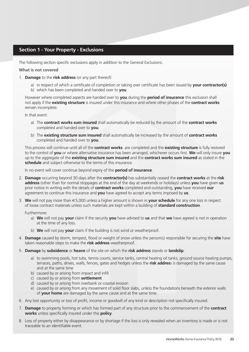### **Section 1 - Your Property - Exclusions**

The following section specific exclusions apply in addition to the General Exclusions.

#### **What is not covered**

- 1. **Damage** to the **risk address** (or any part thereof)
	- a) in respect of which a certificate of completion or taking over certificate has been issued by **your contractor(s)**
	- b) which has been completed and handed over to **you**

However where completed aspects are handed over to **you** during the **period of insurance** this exclusion shall not apply if the **existing structure** is insured under this insurance and where other phases of the **contract works** remain incomplete.

In that event:

- a) The **contract works sum insured** shall automatically be reduced by the amount of the **contract works** completed and handed over to **you**.
- b) The **existing structure sum insured** shall automatically be increased by the amount of **contract works** completed and handed over to **you**.

This process will continue until all of the **contract works** are completed and the **existing structure** is fully restored to the control of **you** or where alternative insurance has been arranged, whichever occurs first. **We** will only insure **you** up to the aggregate of the **existing structure sum insured** and the **contract works sum insured** as stated in the **schedule** and subject otherwise to the terms of this insurance.

In no event will cover continue beyond expiry of the **period of insurance**.

- 2. **Damage** occurring beyond 30 days after the **contractor(s)** has substantially ceased the **contract works** at the **risk address** (other than for normal stoppages at the end of the day at weekends or holidays) unless **you** have given **us** prior notice in writing with the details of **contract works** completed and outstanding, **you** have received **our** agreement to continue this insurance and **you** have agreed to accept any terms imposed by **us**.
- 3. **We** will not pay more than €5,000 unless a higher amount is shown in **your schedule** for any one loss in respect of loose contract materials unless such materials are kept within a building of **standard construction**.

Furthermore:

- a) **We** will not pay **your** claim if the security **you** have advised to **us** and that **we** have agreed is not in operation at the time of any loss.
- b) **We** will not pay **your** claim if the building is not wind or weatherproof.
- 4. **Damage** caused by storm, tempest, flood or weight of snow unless the person(s) responsible for securing the **site** have taken reasonable steps to make the **risk address** weatherproof.
- 5. **Damage** by **subsidence** or **heave** of the site on which the **risk address** stands or **landslip**:
	- a) to swimming pools, hot tubs, tennis courts, service tanks, central heating oil tanks, ground source heating pumps, terraces, paths, drives, walls, fences, gates and hedges unless the **risk addres**s is damaged by the same cause and at the same time
	- b) caused by or arising from impact and infill
	- c) caused by or arising from **settlement**
	- d) caused by or arising from riverbank or coastal erosion
	- e) caused by or arising from any movement of solid floor slabs, unless the foundations beneath the exterior walls of **your home** are damaged by the same cause and at the same time.
- 6. Any lost opportunity or loss of profit, income or goodwill of any kind or description not specifically insured.
- 7. **Damage** to property forming or which has formed part of any structure prior to the commencement of the **contract works** unless specifically insured under this **policy**.
- 8. Loss of property either by disappearance or by shortage if the loss is only revealed when an inventory is made or is not traceable to an identifiable event.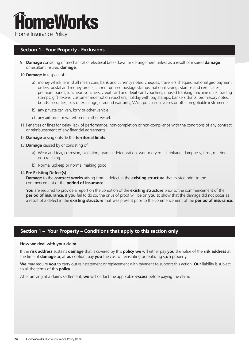

Home Insurance Policy

### **Section 1 - Your Property - Exclusions**

9. **Damage** consisting of mechanical or electrical breakdown or derangement unless as a result of insured **damage** or resultant insured **damage**.

#### 10.**Damage** in respect of:

- a) money which term shall mean coin, bank and currency notes, cheques, travellers cheques, national giro payment orders, postal and money orders, current unused postage stamps, national savings stamps and certificates, premium bonds, luncheon vouchers, credit card and debit card vouchers, unused franking machine units, trading stamps, gift tokens, customer redemption vouchers, holiday with pay stamps, bankers drafts, promissory notes, bonds, securities, bills of exchange, dividend warrants, V.A.T. purchase invoices or other negotiable instruments
- b) any private car, van, lorry or other vehicle
- c) any airborne or waterborne craft or vessel.
- 11.Penalties or fines for delay, lack of performance, non-completion or non-compliance with the conditions of any contract or reimbursement of any financial agreements.

12.**Damage** arising outside the **territorial limits**.

13.**Damage** caused by or consisting of:

- a) Wear and tear, corrosion, oxidation, gradual deterioration, wet or dry rot, shrinkage, dampness, frost, marring or scratching
- b) Normal upkeep or normal making good.

#### 14.**Pre Existing Defect(s)**

**Damage** to the **contract works** arising from a defect in the **existing structure** that existed prior to the commencement of the **period of insurance**.

**You** are required to provide a report on the condition of the **existing structure** prior to the commencement of the **period of insurance**, if **you** fail to do so, the onus of proof will be on **you** to show that the damage did not occur as a result of a defect in the **existing structure** that was present prior to the commencement of the **period of insurance**.

### **Section 1 – Your Property – Conditions that apply to this section only**

#### **How we deal with your claim**

If the **risk address** sustains **damage** that is covered by this **policy we** will either pay **you** the value of the **risk address** at the time of **damage** or, at **our** option, pay **you** the cost of reinstating or replacing such property.

**We** may require **you** to carry out reinstatement or replacement with payment to support this action. **Our** liability is subject to all the terms of this **policy**.

After arriving at a claims settlement, **we** will deduct the applicable **excess** before paying the claim.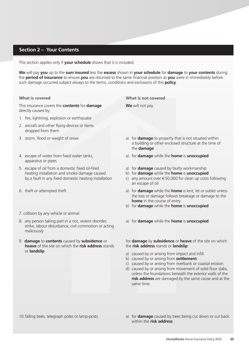### **Section 2 – Your Contents**

This section applies only if **your schedule** shows that it is included.

**We** will pay **you** up to the **sum insured** less the **excess** shown in **your schedule** for **damage** to **your contents** during the **period of insurance** to ensure **you** are returned to the same financial position as **you** were in immediately before such damage occurred subject always to the terms, conditions and exclusions of this **policy**.

#### **What is covered**

This insurance covers the **contents** for **damage** directly caused by:

- 1. fire, lightning, explosion or earthquake
- 2. aircraft and other flying devices or items dropped from them
- 3. storm, flood or weight of snow
- 4. escape of water from fixed water tanks, apparatus or pipes
- 5. escape of oil from a domestic fixed oil-fired heating installation and smoke damage caused by a fault in any fixed domestic heating installation
- 6. theft or attempted theft
- 7. collision by any vehicle or animal
- 8. any person taking part in a riot, violent disorder, strike, labour disturbance, civil commotion or acting maliciously
- 9. **damage** to **contents** caused by **subsidence** or **heave** of the site on which the **risk address** stands or **landslip**

**What is not covered**

**We** will not pay

- a) for **damage** to property that is not situated within a building or other enclosed structure at the time of the **damage**
- a) for **damage** while the **home** is **unoccupied**
- a) for **damage** caused by faulty workmanship
- b) for **damage** while the **home** is **unoccupied**
- c) any amount over  $\in$  50,000 for clean up costs following an escape of oil
- a) for **damage** while the **home** is lent, let or sublet unless the loss or damage follows breakage or damage to the **home** in the course of entry.
- b) for **damage** while the **home** is **unoccupied**
- a) for **damage** while the **home** is **unoccupied**

for **damage** by **subsidence** or **heave** of the site on which the **risk address** stands or **landslip**:

- a) caused by or arising from impact and infill.
- b) caused by or arising from **settlement**.
- c) caused by or arising from riverbank or coastal erosion.
- d) caused by or arising from movement of solid floor slabs, unless the foundations beneath the exterior walls of the **risk address** are damaged by the same cause and at the same time.

10.falling trees, telegraph poles or lamp-posts

a) for **damage** caused by trees being cut down or cut back within the **risk address**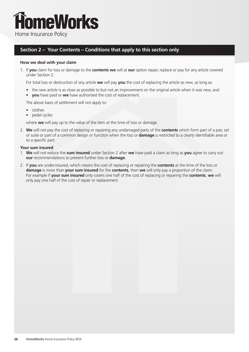Home Insurance Policy

# **Section 2 – Your Contents – Conditions that apply to this section only**

#### **How we deal with your claim**

1. If **you** claim for loss or damage to the **contents we** will at **our** option repair, replace or pay for any article covered under Section 2.

For total loss or destruction of any article **we** will pay **you** the cost of replacing the article as new, as long as:

- the new article is as close as possible to but not an improvement on the original article when it was new, and
- **you** have paid or **we** have authorised the cost of replacement.

The above basis of settlement will not apply to:

- clothes
- pedal cycles

where **we** will pay up to the value of the item at the time of loss or damage.

2. **We** will not pay the cost of replacing or repairing any undamaged parts of the **contents** which form part of a pair, set or suite or part of a common design or function when the loss or **damage** is restricted to a clearly identifiable area or to a specific part.

#### **Your sum insured**

- 1. **We** will not reduce the **sum insured** under Section 2 after **we** have paid a claim as long as **you** agree to carry out **our** recommendations to prevent further loss or **damage**.
- 2. If **you** are under-insured, which means the cost of replacing or repairing the **contents** at the time of the loss or **damage** is more than **your sum insured** for the **contents**, then **we** will only pay a proportion of the claim. For example if **your sum insured** only covers one half of the cost of replacing or repairing the **contents**, **we** will only pay one half of the cost of repair or replacement.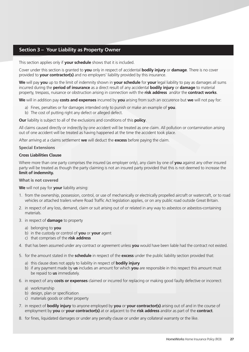### **Section 3 – Your Liability as Property Owner**

This section applies only if **your schedule** shows that it is included.

Cover under this section is granted to **you** only in respect of accidental **bodily injury** or **damage**. There is no cover provided to **your contractor(s)** and no employers' liability provided by this insurance.

**We** will pay **you** up to the limit of indemnity shown in **your schedule** for **your** legal liability to pay as damages all sums incurred during the **period of insurance** as a direct result of any accidental **bodily injury** or **damage** to material property, trespass, nuisance or obstruction arising in connection with the **risk address** and/or the **contract works**.

**We** will in addition pay **costs and expenses** incurred by **you** arising from such an occurence but **we** will not pay for:

- a) Fines, penalties or for damages intended only to punish or make an example of **you**.
- b) The cost of putting right any defect or alleged defect.

**Our** liability is subject to all of the exclusions and conditions of this **policy**.

All claims caused directly or indirectly by one accident will be treated as one claim. All pollution or contamination arising out of one accident will be treated as having happened at the time the accident took place.

After arriving at a claims settlement **we** will deduct the **excess** before paying the claim.

#### **Special Extensions**

#### **Cross Liabilities Clause**

Where more than one party comprises the insured (as employer only), any claim by one of **you** against any other insured party will be treated as though the party claiming is not an insured party provided that this is not deemed to increase the **limit of indemnity.**

#### **What is not covered**

**We** will not pay for **your** liability arising:

- 1. from the ownership, possession, control, or use of mechanically or electrically propelled aircraft or watercraft, or to road vehicles or attached trailers where Road Traffic Act legislation applies, or on any public road outside Great Britain.
- 2. in respect of any loss, demand, claim or suit arising out of or related in any way to asbestos or asbestos-containing materials.
- 3. in respect of **damage** to property
	- a) belonging to **you**
	- b) in the custody or control of **you** or **your** agent
	- c) that comprises of the **risk address**
- 4. that has been assumed under any contract or agreement unless **you** would have been liable had the contract not existed.
- 5. for the amount stated in the **schedule** in respect of the **excess** under the public liability section provided that:
	- a) this clause does not apply to liability in respect of **bodily injury**
	- b) if any payment made by **us** includes an amount for which **you** are responsible in this respect this amount must be repaid to **us** immediately.
- 6. in respect of any **costs or expenses** claimed or incurred for replacing or making good faulty defective or incorrect:
	- a) workmanship
	- b) design, plan or specification
	- c) materials goods or other property
- 7. in respect of **bodily injury** to anyone employed by **you** or **your contractor(s)** arising out of and in the course of employment by **you** or **your contractor(s)** at or adjacent to the **risk address** and/or as part of the **contract**.
- 8. for fines, liquidated damages or under any penalty clause or under any collateral warranty or the like.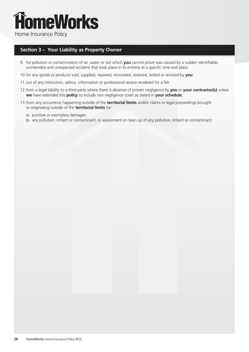# **AdmeWorks**

Home Insurance Policy

# **Section 3 – Your Liability as Property Owner**

- 9. for pollution or contamination of air, water or soil which **you** cannot prove was caused by a sudden identifiable, unintended and unexpected accident that took place in its entirety at a specific time and place.
- 10.for any goods or products sold, supplied, repaired, renovated, restored, tested or serviced by **you**.
- 11.out of any instruction, advice, information or professional service rendered for a fee
- 12.from a legal liability to a third party where there is absence of proven negligence by **you** or **your contractor(s)** unless **we** have extended this **policy** to include non negligence cover as stated in **your schedule**.
- 13.from any occurrence happening outside of the **territorial limits** and/or claims or legal proceedings brought or originating outside of the **territorial limits** for:
	- a) punitive or exemplary damages
	- b) any pollution, irritant or contaminant, or assessment or clean up of any pollution, irritant or contaminant.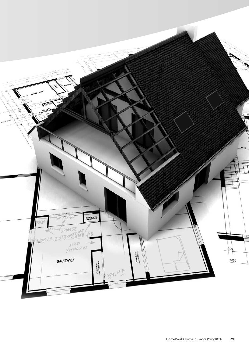